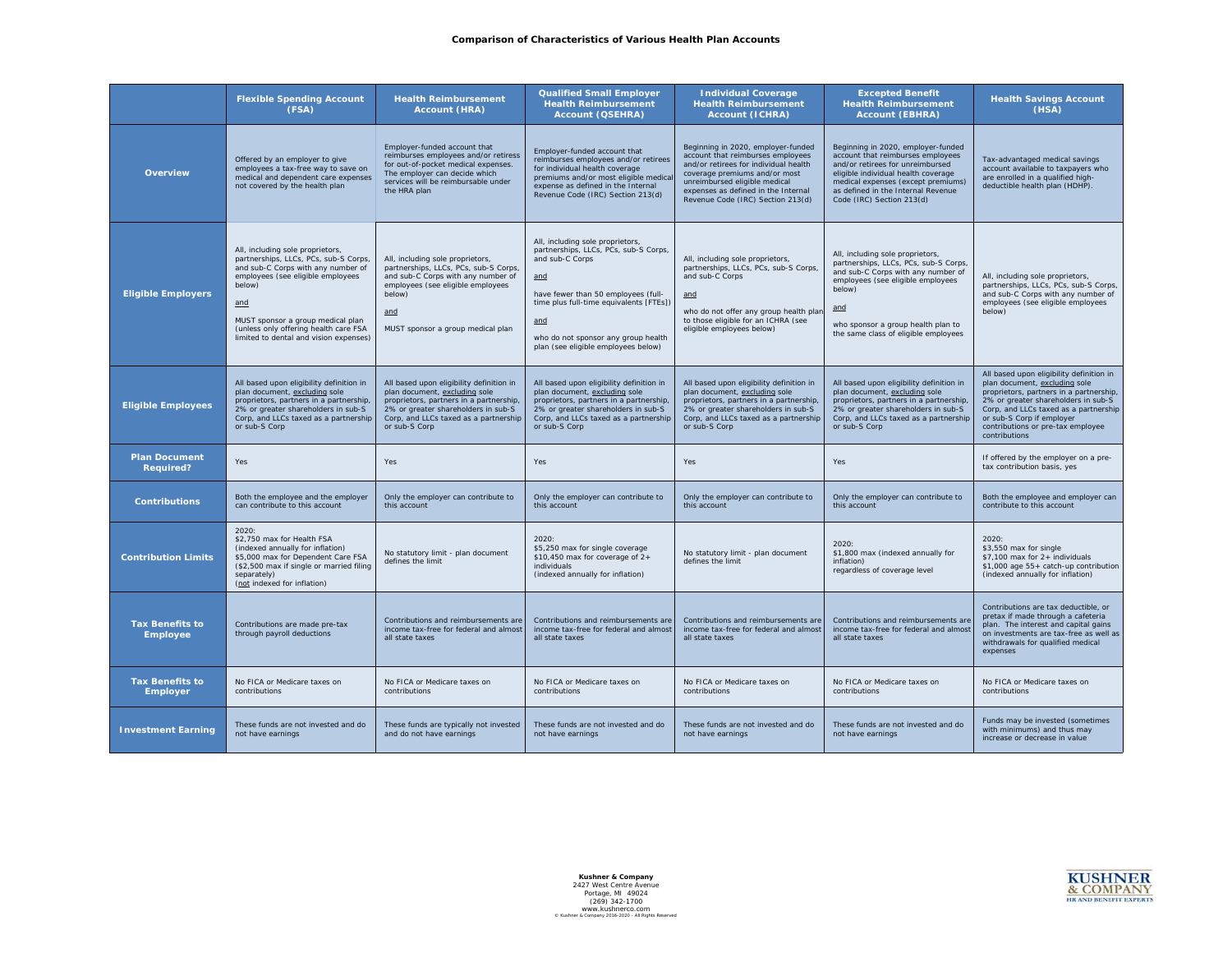## **Comparison of Characteristics of Various Health Plan Accounts**

|                                           | <b>Flexible Spending Account</b><br>(FSA)                                                                                                                                                                                                                                                     | <b>Health Reimbursement</b><br><b>Account (HRA)</b>                                                                                                                                                                   | <b>Qualified Small Employer</b><br><b>Health Reimbursement</b><br><b>Account (QSEHRA)</b>                                                                                                                                                                                  | <b>Individual Coverage</b><br><b>Health Reimbursement</b><br><b>Account (ICHRA)</b>                                                                                                                                                                            | <b>Excepted Benefit</b><br><b>Health Reimbursement</b><br><b>Account (EBHRA)</b>                                                                                                                                                                            | <b>Health Savings Account</b><br>(HSA)                                                                                                                                                                                                                                                  |
|-------------------------------------------|-----------------------------------------------------------------------------------------------------------------------------------------------------------------------------------------------------------------------------------------------------------------------------------------------|-----------------------------------------------------------------------------------------------------------------------------------------------------------------------------------------------------------------------|----------------------------------------------------------------------------------------------------------------------------------------------------------------------------------------------------------------------------------------------------------------------------|----------------------------------------------------------------------------------------------------------------------------------------------------------------------------------------------------------------------------------------------------------------|-------------------------------------------------------------------------------------------------------------------------------------------------------------------------------------------------------------------------------------------------------------|-----------------------------------------------------------------------------------------------------------------------------------------------------------------------------------------------------------------------------------------------------------------------------------------|
| <b>Overview</b>                           | Offered by an employer to give<br>employees a tax-free way to save on<br>medical and dependent care expenses<br>not covered by the health plan                                                                                                                                                | Employer-funded account that<br>reimburses employees and/or retiress<br>for out-of-pocket medical expenses.<br>The employer can decide which<br>services will be reimbursable under<br>the HRA plan                   | Employer-funded account that<br>reimburses employees and/or retirees<br>for individual health coverage<br>premiums and/or most eligible medical<br>expense as defined in the Internal<br>Revenue Code (IRC) Section 213(d)                                                 | Beginning in 2020, employer-funded<br>account that reimburses employees<br>and/or retirees for individual health<br>coverage premiums and/or most<br>unreimbursed eligible medical<br>expenses as defined in the Internal<br>Revenue Code (IRC) Section 213(d) | Beginning in 2020, employer-funded<br>account that reimburses employees<br>and/or retirees for unreimbursed<br>eligible individual health coverage<br>medical expenses (except premiums)<br>as defined in the Internal Revenue<br>Code (IRC) Section 213(d) | Tax-advantaged medical savings<br>account available to taxpayers who<br>are enrolled in a qualified high-<br>deductible health plan (HDHP).                                                                                                                                             |
| <b>Eligible Employers</b>                 | All, including sole proprietors,<br>partnerships, LLCs, PCs, sub-S Corps,<br>and sub-C Corps with any number of<br>employees (see eligible employees<br>below)<br>and<br>MUST sponsor a group medical plan<br>(unless only offering health care FSA<br>limited to dental and vision expenses) | All, including sole proprietors,<br>partnerships, LLCs, PCs, sub-S Corps,<br>and sub-C Corps with any number of<br>employees (see eligible employees<br>below)<br>and<br>MUST sponsor a group medical plan            | All, including sole proprietors,<br>partnerships, LLCs, PCs, sub-S Corps,<br>and sub-C Corps<br>and<br>have fewer than 50 employees (full-<br>time plus full-time equivalents [FTEs])<br>and<br>who do not sponsor any group health<br>plan (see eligible employees below) | All, including sole proprietors,<br>partnerships, LLCs, PCs, sub-S Corps,<br>and sub-C Corps<br>and<br>who do not offer any group health plan<br>to those eligible for an ICHRA (see<br>eligible employees below)                                              | All, including sole proprietors,<br>partnerships, LLCs, PCs, sub-S Corps,<br>and sub-C Corps with any number of<br>employees (see eligible employees<br>below)<br>and<br>who sponsor a group health plan to<br>the same class of eligible employees         | All, including sole proprietors,<br>partnerships, LLCs, PCs, sub-S Corps,<br>and sub-C Corps with any number of<br>employees (see eligible employees<br>below)                                                                                                                          |
| <b>Eligible Employees</b>                 | All based upon eligibility definition in<br>plan document, excluding sole<br>proprietors, partners in a partnership,<br>2% or greater shareholders in sub-S<br>Corp, and LLCs taxed as a partnership<br>or sub-S Corp                                                                         | All based upon eligibility definition in<br>plan document, excluding sole<br>proprietors, partners in a partnership,<br>2% or greater shareholders in sub-S<br>Corp, and LLCs taxed as a partnership<br>or sub-S Corp | All based upon eligibility definition in<br>plan document, excluding sole<br>proprietors, partners in a partnership,<br>2% or greater shareholders in sub-S<br>Corp, and LLCs taxed as a partnership<br>or sub-S Corp                                                      | All based upon eligibility definition in<br>plan document, excluding sole<br>proprietors, partners in a partnership,<br>2% or greater shareholders in sub-S<br>Corp, and LLCs taxed as a partnership<br>or sub-S Corp                                          | All based upon eligibility definition in<br>plan document, excluding sole<br>proprietors, partners in a partnership,<br>2% or greater shareholders in sub-S<br>Corp, and LLCs taxed as a partnership<br>or sub-S Corp                                       | All based upon eligibility definition in<br>plan document, excluding sole<br>proprietors, partners in a partnership,<br>2% or greater shareholders in sub-S<br>Corp, and LLCs taxed as a partnership<br>or sub-S Corp if employer<br>contributions or pre-tax employee<br>contributions |
| <b>Plan Document</b><br><b>Required?</b>  | Yes                                                                                                                                                                                                                                                                                           | Yes                                                                                                                                                                                                                   | Yes                                                                                                                                                                                                                                                                        | Yes                                                                                                                                                                                                                                                            | Yes                                                                                                                                                                                                                                                         | If offered by the employer on a pre-<br>tax contribution basis, yes                                                                                                                                                                                                                     |
| <b>Contributions</b>                      | Both the employee and the employer<br>can contribute to this account                                                                                                                                                                                                                          | Only the employer can contribute to<br>this account                                                                                                                                                                   | Only the employer can contribute to<br>this account                                                                                                                                                                                                                        | Only the employer can contribute to<br>this account                                                                                                                                                                                                            | Only the employer can contribute to<br>this account                                                                                                                                                                                                         | Both the employee and employer can<br>contribute to this account                                                                                                                                                                                                                        |
| <b>Contribution Limits</b>                | 2020:<br>\$2,750 max for Health FSA<br>(indexed annually for inflation)<br>\$5,000 max for Dependent Care FSA<br>(\$2,500 max if single or married filing<br>separately)<br>(not indexed for inflation)                                                                                       | No statutory limit - plan document<br>defines the limit                                                                                                                                                               | 2020:<br>\$5,250 max for single coverage<br>\$10,450 max for coverage of 2+<br>individuals<br>(indexed annually for inflation)                                                                                                                                             | No statutory limit - plan document<br>defines the limit                                                                                                                                                                                                        | 2020:<br>\$1,800 max (indexed annually for<br>inflation)<br>regardless of coverage level                                                                                                                                                                    | 2020:<br>\$3,550 max for single<br>\$7,100 max for 2+ individuals<br>\$1,000 age 55+ catch-up contribution<br>(indexed annually for inflation)                                                                                                                                          |
| <b>Tax Benefits to</b><br><b>Employee</b> | Contributions are made pre-tax<br>through payroll deductions                                                                                                                                                                                                                                  | Contributions and reimbursements are<br>income tax-free for federal and almost<br>all state taxes                                                                                                                     | Contributions and reimbursements are<br>income tax-free for federal and almost<br>all state taxes                                                                                                                                                                          | Contributions and reimbursements are<br>income tax-free for federal and almost<br>all state taxes                                                                                                                                                              | Contributions and reimbursements are<br>income tax-free for federal and almost<br>all state taxes                                                                                                                                                           | Contributions are tax deductible, or<br>pretax if made through a cafeteria<br>plan. The interest and capital gains<br>on investments are tax-free as well as<br>withdrawals for qualified medical<br>expenses                                                                           |
| <b>Tax Benefits to</b><br><b>Employer</b> | No FICA or Medicare taxes on<br>contributions                                                                                                                                                                                                                                                 | No FICA or Medicare taxes on<br>contributions                                                                                                                                                                         | No FICA or Medicare taxes on<br>contributions                                                                                                                                                                                                                              | No FICA or Medicare taxes on<br>contributions                                                                                                                                                                                                                  | No FICA or Medicare taxes on<br>contributions                                                                                                                                                                                                               | No FICA or Medicare taxes on<br>contributions                                                                                                                                                                                                                                           |
| <b>Investment Earning</b>                 | These funds are not invested and do<br>not have earnings                                                                                                                                                                                                                                      | These funds are typically not invested<br>and do not have earnings                                                                                                                                                    | These funds are not invested and do<br>not have earnings                                                                                                                                                                                                                   | These funds are not invested and do<br>not have earnings                                                                                                                                                                                                       | These funds are not invested and do<br>not have earnings                                                                                                                                                                                                    | Funds may be invested (sometimes<br>with minimums) and thus may<br>increase or decrease in value                                                                                                                                                                                        |